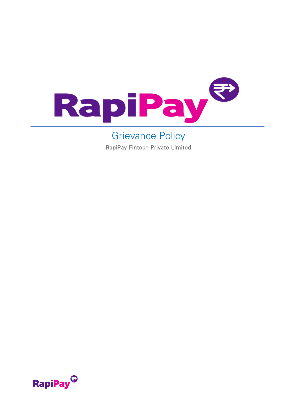

## Grievance Policy

RapiPay Fintech Private Limited

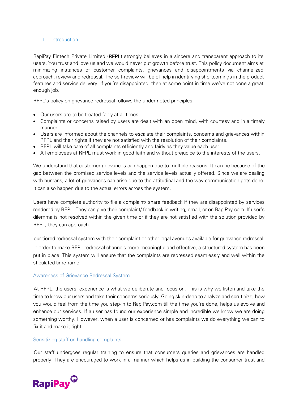#### 1. Introduction

RapiPay Fintech Private Limited (RFPL) strongly believes in a sincere and transparent approach to its users. You trust and love us and we would never put growth before trust. This policy document aims at minimizing instances of customer complaints, grievances and disappointments via channelized approach, review and redressal. The self-review will be of help in identifying shortcomings in the product features and service delivery. If you're disappointed, then at some point in time we've not done a great enough job.

RFPL's policy on grievance redressal follows the under noted principles.

- Our users are to be treated fairly at all times.
- Complaints or concerns raised by users are dealt with an open mind, with courtesy and in a timely manner.
- Users are informed about the channels to escalate their complaints, concerns and grievances within RFPL and their rights if they are not satisfied with the resolution of their complaints.
- RFPL will take care of all complaints efficiently and fairly as they value each user.
- All employees at RFPL must work in good faith and without prejudice to the interests of the users.

We understand that customer grievances can happen due to multiple reasons. It can be because of the gap between the promised service levels and the service levels actually offered. Since we are dealing with humans, a lot of grievances can arise due to the attitudinal and the way communication gets done. It can also happen due to the actual errors across the system.

Users have complete authority to file a complaint/ share feedback if they are disappointed by services rendered by RFPL. They can give their complaint/ feedback in writing, email, or on RapiPay.com. If user's dilemma is not resolved within the given time or if they are not satisfied with the solution provided by RFPL, they can approach

our tiered redressal system with their complaint or other legal avenues available for grievance redressal. In order to make RFPL redressal channels more meaningful and effective, a structured system has been put in place. This system will ensure that the complaints are redressed seamlessly and well within the stipulated timeframe.

#### Awareness of Grievance Redressal System

At RFPL, the users' experience is what we deliberate and focus on. This is why we listen and take the time to know our users and take their concerns seriously. Going skin-deep to analyze and scrutinize, how you would feel from the time you step-in to RapiPay.com till the time you're done, helps us evolve and enhance our services. If a user has found our experience simple and incredible we know we are doing something worthy. However, when a user is concerned or has complaints we do everything we can to fix it and make it right.

#### Sensitizing staff on handling complaints

Our staff undergoes regular training to ensure that consumers queries and grievances are handled properly. They are encouraged to work in a manner which helps us in building the consumer trust and

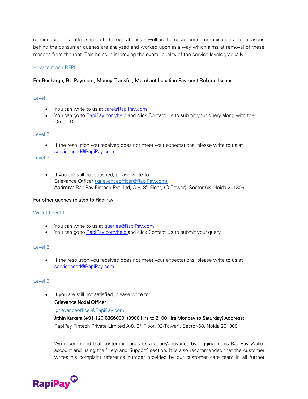confidence. This reflects in both the operations as well as the customer communications. Top reasons behind the consumer queries are analyzed and worked upon in a way which aims at removal of these reasons from the root. This helps in improving the overall quality of the service levels gradually.

#### How to reach RFPL

#### For Recharge, Bill Payment, Money Transfer, Merchant Location Payment Related Issues

#### Level 1:

- You can write to us at [care@RapiPay.com](mailto:care@rapipay.com)
- You can go to [RapiPay.com/help](https://www.rapipay.com/app/html/rapipay.com/contact) and click Contact Us to submit your query along with the Order ID

#### Level 2:

If the resolution you received does not meet your expectations, please write to us at [servicehead@RapiPay.com](mailto:servicehead@rapipay.com)

#### Level 3:

• If you are still not satisfied, please write to: Grievance Officer ( grievance officer@RapiPay.com) Address: RapiPay Fintech Pvt. Ltd, A-8, 8th Floor, (Q-Tower), Sector-68, Noida 201309

#### For other queries related to RapiPay

#### Wallet Level 1:

- You can write to us at *[queries@RapiPay.com](mailto:queries@rapipay.com)*
- You can go to **[RapiPay.com/help](https://www.rapipay.com/app/html/rapipay.com/contact)** and click Contact Us to submit your query

#### Level 2:

• If the resolution you received does not meet your expectations, please write to us at [servicehead@RapiPay.com](mailto:servicehead@rapipay.com)

#### Level 3:

• If you are still not satisfied, please write to:

#### Grievance Nodal Officer

#### [\(grievanceofficer@RapiPay.com\)](mailto:(grievanceofficer@RapiPay.com))

## Jithin Karkera (+91 120 6366000) (0900 Hrs to 2100 Hrs Monday to Saturday) Address:

RapiPay Fintech Private Limited A-8, 8<sup>th</sup> Floor, (Q-Tower), Sector-68, Noida 201309

We recommend that customer sends us a query/grievance by logging in his RapiPay Wallet account and using the 'Help and Support' section. It is also recommended that the customer writes his complaint reference number provided by our customer care team in all further

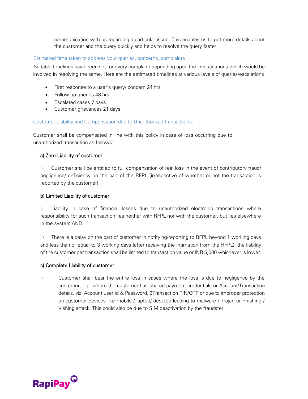communication with us regarding a particular issue. This enables us to get more details about the customer and the query quickly and helps to resolve the query faster.

#### Estimated time taken to address your queries, concerns, complaints

Suitable timelines have been set for every complaint depending upon the investigations which would be involved in resolving the same. Here are the estimated timelines at various levels of queries/escalations

- First response to a user's query/ concern 24 hrs
- Follow-up queries 48 hrs
- Escalated cases 7 days
- Customer grievances 21 days

#### Customer Liability and Compensation due to Unauthorized transactions:

Customer shall be compensated in line with this policy in case of loss occurring due to unauthorized transaction as follows:

#### a) Zero Liability of customer

i) Customer shall be entitled to full compensation of real loss in the event of contributory fraud/ negligence/ deficiency on the part of the RFPL (irrespective of whether or not the transaction is reported by the customer)

#### b) Limited Liability of customer

i) Liability in case of financial losses due to unauthorized electronic transactions where responsibility for such transaction lies neither with RFPL nor with the customer, but lies elsewhere in the system AND

ii) There is a delay on the part of customer in notifying/reporting to RFPL beyond 1 working days and less than or equal to 3 working days (after receiving the intimation from the RFPL), the liability of the customer per transaction shall be limited to transaction value or INR 5,000 whichever is lower.

#### c) Complete Liability of customer

i) Customer shall bear the entire loss in cases where the loss is due to negligence by the customer, e.g. where the customer has shared payment credentials or Account/Transaction details, viz. Account user Id & Password, 2Transaction PIN/OTP or due to improper protection on customer devices like mobile / laptop/ desktop leading to malware / Trojan or Phishing / Vishing attack. This could also be due to SIM deactivation by the fraudster.

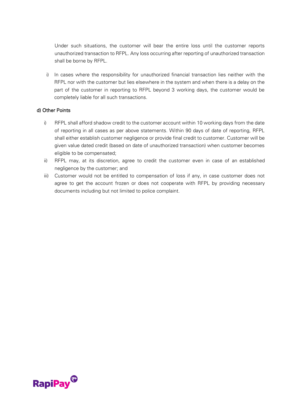Under such situations, the customer will bear the entire loss until the customer reports unauthorized transaction to RFPL. Any loss occurring after reporting of unauthorized transaction shall be borne by RFPL.

i) In cases where the responsibility for unauthorized financial transaction lies neither with the RFPL nor with the customer but lies elsewhere in the system and when there is a delay on the part of the customer in reporting to RFPL beyond 3 working days, the customer would be completely liable for all such transactions.

#### d) Other Points

- i) RFPL shall afford shadow credit to the customer account within 10 working days from the date of reporting in all cases as per above statements. Within 90 days of date of reporting, RFPL shall either establish customer negligence or provide final credit to customer. Customer will be given value dated credit (based on date of unauthorized transaction) when customer becomes eligible to be compensated;
- ii) RFPL may, at its discretion, agree to credit the customer even in case of an established negligence by the customer; and
- iii) Customer would not be entitled to compensation of loss if any, in case customer does not agree to get the account frozen or does not cooperate with RFPL by providing necessary documents including but not limited to police complaint.

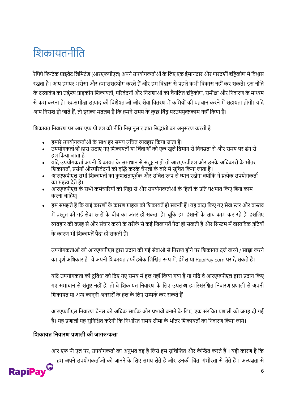# शिकायतनीशत

रैपिपे फिन्टेक प्राइवेट लिमिटेड (आरएफपीएल) अपने उपयोगकर्ताओं के लिए एक ईमानदार और पारदर्शी दृष्टिकोण में विश्वास रखता है। आप हमपर भरोसा और हमारासहयोग करते हैं और हम विश्वास से पहले कभी विकास नहीं कर सकते। इस नीति के दस्तावेज का उद्देश्य ग्राहकीय शिकायतों, परिवेदनों और निराशाओं को चैनलित दृष्टिकोण, समीक्षा और निवारण के माध्यम से कम करना है। स्व-समीक्षा उत्पाद की विशेषताओं और सेवा वितरण में कमियों की पहचान करने में सहायता होगी। यदि आप निराश हो जाते हैं, तो इसका मतलब है कि हमने समय के कुछ बिंदु परउपयुक्तकाम नहीं किया है।

शिकायत निवारण पर आर एफ पी एल की नीति निम्नानुसार ज्ञात सिद्धांतों का अनुसरण करती है

- हमारे उपयोगकर्ताओं के साथ हर समय उचित व्यवहार किया जाता है।
- उपयोगकर्ताओं द्वारा उठाए गए शिकायतों या चिंताओं को एक खुले दिमाग से विनम्रता से और समय पर ढंग से हल किया जाता है।
- यदि उपयोगकर्ता अपनी शिकायत के समाधान से संतुष्ट न हो तो आरएफपीएल और उनके अधिकारों के भीतर शिकायतों, प्रसंगों औरपरिवेदनों को वृद्धि करके चैनलों के बारे में सूचित किया जाता है।
- . आरएफपीएल सभी शिकायतों का कुशलतापूर्वक और उचित रूप से ध्यान रखेगा क्योंकि वे प्रत्येक उपयोगकर्ता का महत्व देते हैं।
- अारएफपीएल के सभी कर्मचारियों को निष्ठा से और उपयोगकर्ताओं के हितों के प्रति पक्षपात किए बिना काम करना चाशहए|
- हम समझते हैं कि कई कारणों के कारण ग्राहक को शिकायतें हो सकती हैं। यह वादा किए गए सेवा स्तर और वास्तव में प्रस्तुत की गई सेवा स्तरों के बीच का अंतर हो सकता है। चूंकि हम इंसानों के साथ काम कर रहे हैं, इसलिए व्यवहार की वजह से और संचार करने के तरीके से कई शिकायतें पैदा हो सकती हैं और सिस्टम में वास्तविक त्रुटियों के कारण भी शिकायतें पैदा हो सकती हैं।

उपयोगकर्ताओं को आरएफपीएल द्वारा प्रदान की गई सेवाओं से निराश होने पर शिकायत दर्ज करने / साझा करने का पूर्ण अधिकार है। वे अपनी शिकायत / फीडबैक लिखित रूप में, ईमेल या RapiPay.com पर दे सकते हैं।

यदि उपयोगकर्ता की दुविधा को दिए गए समय में हल नहीं किया गया है या यदि वे आरएफपीएल द्वारा प्रदान किए गए समाधान से संतुष्ट नहीं हैं, तो वे शिकायत निवारण के लिए उपलब्ध हमारेसंरक्षित निवारण प्रणाली से अपनी शिकायत या अन्य कानूनी अवसरों के हल के लिए सम्पर्क कर सकते हैं।

आरएफपीएल निवारण चैनल को अधिक सार्थक और प्रभावी बनाने के लिए, एक संरचित प्रणाली को जगह दी गई है। यह प्रणाली यह सुनिश्चित करेगी कि निर्धारित समय सीमा के भीतर शिकायतों का निवारण किया जाये।

## **शिकायत शिवारण प्रणाली की जागरूकता**

आर एफ पी एल पर, उपयोगकर्ता का अनुभव वह है जिसे हम सुचिन्तित और केन्द्रित करते हैं । यही कारण है कि हम अपने उपयोगकर्ताओं को जानने के लिए समय लेते हैं और उनकी चिंता गंभीरता से लेते हैं। अल्पज्ञता से

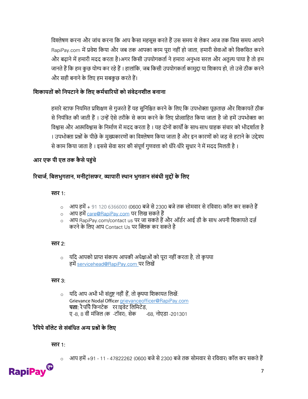विश्लेषण करना और जांच करना कि आप कैसा महसूस करते हैं उस समय से लेकर आज तक जिस समय आपने RapiPay.com में प्रवेश किया और जब तक आपका काम पूरा नहीं हो जाता, हमारी सेवाओं को विकसित करने और बढाने में हमारी मदद करता है।अगर किसी उपयोगकर्ता ने हमारा अनुभव सरल और अतुल्य पाया है तो हम जानते हैं कि हम कुछ योग्य कर रहे हैं । हालांकि, जब किसी उपयोगकर्ता कामुद्दा या शिकाय हो, तो उसे ठीक करने और सही बनाने के लिए हम सबकछ करते हैं।

## **शिकायत ों क शिपटािे के शलए कर्मचाररय ों क सोंवेदििील बिािा**

हमारे स्टाफ नियमित प्रशिक्षण से गुजरते हैं यह सुनिश्चित करने के लिए कि उपभोक्ता पूछताछ और शिकायतें ठीक से नियंत्रित की जाती हैं । उन्हें ऐसे तरीके से काम करने के लिए प्रोत्साहित किया जाता है जो हमें उपभोक्ता का विश्वास और आत्मविश्वास के निर्माण में मदद करता है। यह दोनों कार्यों के साथ-साथ ग्राहक संचार को भीदर्शाता है । उपभोक्ता प्रश्नों के पीछे के मुख्यकारणों का विश्लेषण किया जाता है और इन कारणों को जड़ से हटाने के उद्देश्य से काम किया जाता है। इससे सेवा स्तर की संपूर्ण गुणवत्ता को धीरे-धीरे सुधार ने में मदद मिलती है।

## **आर एफ पी एल तक कै से पहोंचे**

## **ररचाजम**, **शबलभुगताि**, **र्िीट् ाोंसफर**, **व्यापारी स्थाि भुगताि सोंबोंधी र्ुद् ों के शलए**

## **स्तर** 1:

- o आि हिें+ 91 120 6366000 (0600 बजेसे2300 बजेतक सोिवार सेरशववार) कॉि कर सकतेहैं
- o आप हमें [care@RapiPay.com](mailto:care@rapipay.com) पर लिख सकते हैं
- o आि RapiPay.com/contact us िर जा सकतेहैंऔर ऑडार आई डी के साथ अिनी शिकायतेदर्ा करने के लिए आप Contact Us पर क्लिक कर सकते है

## **स्तर** 2:

o यशद आिको प्राप्त संकल्प आिकी अिेक्षाओं को िूरा नही ंकरता है, तो कृ िया हमें [servicehead@RapiPay.com](mailto:servicehead@rapipay.com) पर लिखें

## **स्तर** 3:

्यदि आप अभी भी संतुष्ट नहीं हैं, तो कृपया शिकायत लिखें: Grievance Nodal Officer [grievanceofficer@RapiPay.](mailto:grievanceofficer@rapipay.com)com **पता**: रैिशिेशिनटेक रर ाइवेट शिशिटेड, ए -8, 8 वीं िंशजि (क -टॉवर), सेक -68, नोएडा -201301

## **रैशपपे वॉलेट से सोंबोंशधत अन्य प्रश् ों के शलए**

## **स्तर** 1:

o आि हिें+91 - 11 - 47822262 (0600 बजेसे2300 बजेतक सोिवार सेरशववार) कॉि कर सकतेहैं

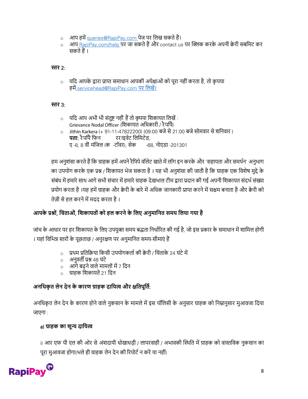- o आप हमें [queries@RapiPay.com](mailto:queries@rapipay.com) पेज पर लिख सकते हैं।
- अाप <u>[RapiPay.com/help](https://www.rapipay.com/app/html/rapipay.com/contact) प</u>र जा सकते हैं और contact us पर क्लिक करके अपनी क्वेरी सबमिट कर सकतेहैं।

## **स्तर** 2:

 $\, \circ \,$  यदि आपके द्वारा प्राप्त समाधान आपकी अपेक्षाओं को पूरा नहीं करता है, तो कृपया हमें [servicehead@RapiPay.com](mailto:servicehead@rapipay.com) पर लिखें।

## **स्तर** 3:

- o यशद आि अभी भी संतुि नहीं हैंतो कृिया शिकायत शिखें : Grievance Nodal Officer (शिकायत अशधकारी / रैिशिे) o Jithin Karkera (+ 91-11-47822200) (09:00 बजेसे 21:00 बजेसोिवार सेिशनवार )
- **पता**: रैपपि फिन रिराइवेट लिमिटेड, ए -8, 8 वीं िंशजि (क -टॉवर), सेक -68, नोएडा -201301

हम अनुशंसा करते हैं कि ग्राहक हमें अपने रैपिपे वॉलेट खाते में लॉग इन करके और 'सहायता और समर्थन' अनुभाग का उपयोग करके एक प्रश्न / शिकायत भेज सकता है। यह भी अनुशंसा की जाती है कि ग्राहक एक विशेष मुद्दे के संबंध में हमारे साथ आगे सभी संचार में हमारे ग्राहक देखभाल टीम द्वारा प्रदान की गई अपनी शिकायत संदर्भ संख्या प्रयोग करता है ।यह हमें ग्राहक और क्वेरी के बारे में अधिक जानकारी प्राप्त करने में सक्षम बनाता है और क्वेरी को तेज़ी से हल करने में मदद करता है ।

## **आपके प्रश् ों**, **शचोंताओों**, **शिकायत ों क हल करिे के शलए अिुर्ाशित सर्य शलया गया है**

जांच के आधार पर हर शिकायत के लिए उपयुक्त समय बद्धता निर्धारित की गई है, जो इस प्रकार के समाधान में शामिल होगी । यहां विभिन्न स्तरों के पूछताछ / अनुरक्षण पर अनुमानित समय-सीमाएं हैं

- o प्रथम प्रतिक्रिया किसी उपयोगकर्ता की क्वेरी / चिंताके 24 घंटे में
- o अनुवती प्रश् 48 घंटे
- o आगेबढनेवािेिाििोंिें7 शदन
- o ग्राहक शिकायतें21 शदन

## **अिशधकृ त लेि देि के कारण ग्राहक दाशयत्व और क्षशतपूशतम**:

अनधिकृत लेन देन के कारण होने वाले नुकसान के मामले में इस पॉलिसी के अनुसार ग्राहक को निम्नानुसार मुआवजा दिया जाएगा :

## a) **ग्राहक का िून्य दाशयत्व**

i) आर एफ पी एल की ओर से अंशदायी धोखाधड़ी / लापरवाही / अभावकी स्थिति में ग्राहक को वास्तविक नुकसान का पूरा मुआवजा होगा(भले ही ग्राहक लेन देन की रिपोर्ट न करें या नहीं)